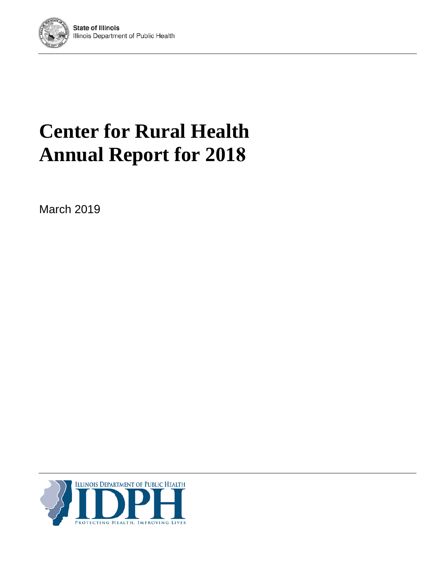

# **Center for Rural Health Annual Report for 2018**

March 2019

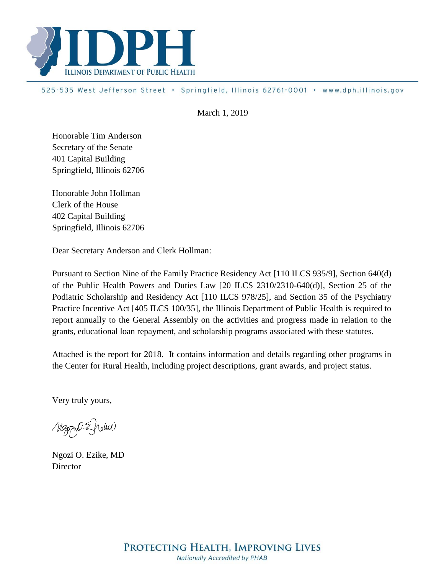

525-535 West Jefferson Street · Springfield, Illinois 62761-0001 · www.dph.illinois.gov

March 1, 2019

Honorable Tim Anderson Secretary of the Senate 401 Capital Building Springfield, Illinois 62706

Honorable John Hollman Clerk of the House 402 Capital Building Springfield, Illinois 62706

Dear Secretary Anderson and Clerk Hollman:

Pursuant to Section Nine of the Family Practice Residency Act [110 ILCS 935/9], Section 640(d) of the Public Health Powers and Duties Law [20 ILCS 2310/2310-640(d)], Section 25 of the Podiatric Scholarship and Residency Act [110 ILCS 978/25], and Section 35 of the Psychiatry Practice Incentive Act [405 ILCS 100/35], the Illinois Department of Public Health is required to report annually to the General Assembly on the activities and progress made in relation to the grants, educational loan repayment, and scholarship programs associated with these statutes.

Attached is the report for 2018. It contains information and details regarding other programs in the Center for Rural Health, including project descriptions, grant awards, and project status.

Very truly yours,

Mary O. Eneme)

Ngozi O. Ezike, MD **Director**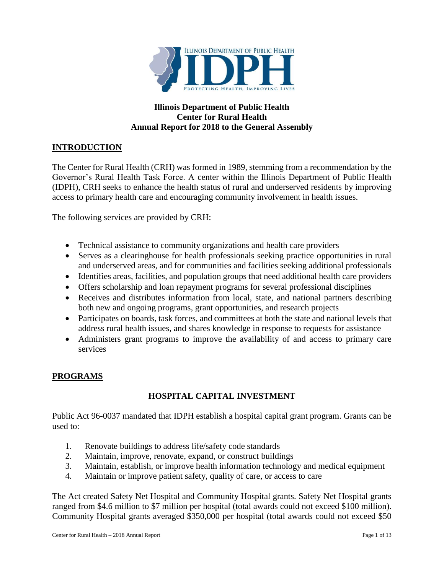

## **Illinois Department of Public Health Center for Rural Health Annual Report for 2018 to the General Assembly**

# **INTRODUCTION**

The Center for Rural Health (CRH) was formed in 1989, stemming from a recommendation by the Governor's Rural Health Task Force. A center within the Illinois Department of Public Health (IDPH), CRH seeks to enhance the health status of rural and underserved residents by improving access to primary health care and encouraging community involvement in health issues.

The following services are provided by CRH:

- Technical assistance to community organizations and health care providers
- Serves as a clearinghouse for health professionals seeking practice opportunities in rural and underserved areas, and for communities and facilities seeking additional professionals
- Identifies areas, facilities, and population groups that need additional health care providers
- Offers scholarship and loan repayment programs for several professional disciplines
- Receives and distributes information from local, state, and national partners describing both new and ongoing programs, grant opportunities, and research projects
- Participates on boards, task forces, and committees at both the state and national levels that address rural health issues, and shares knowledge in response to requests for assistance
- Administers grant programs to improve the availability of and access to primary care services

#### **PROGRAMS**

## **HOSPITAL CAPITAL INVESTMENT**

Public Act 96-0037 mandated that IDPH establish a hospital capital grant program. Grants can be used to:

- 1. Renovate buildings to address life/safety code standards
- 2. Maintain, improve, renovate, expand, or construct buildings
- 3. Maintain, establish, or improve health information technology and medical equipment
- 4. Maintain or improve patient safety, quality of care, or access to care

The Act created Safety Net Hospital and Community Hospital grants. Safety Net Hospital grants ranged from \$4.6 million to \$7 million per hospital (total awards could not exceed \$100 million). Community Hospital grants averaged \$350,000 per hospital (total awards could not exceed \$50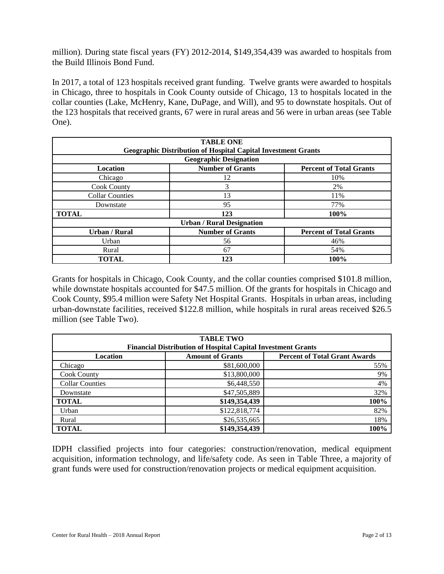million). During state fiscal years (FY) 2012-2014, \$149,354,439 was awarded to hospitals from the Build Illinois Bond Fund.

In 2017, a total of 123 hospitals received grant funding. Twelve grants were awarded to hospitals in Chicago, three to hospitals in Cook County outside of Chicago, 13 to hospitals located in the collar counties (Lake, McHenry, Kane, DuPage, and Will), and 95 to downstate hospitals. Out of the 123 hospitals that received grants, 67 were in rural areas and 56 were in urban areas (see Table One).

| <b>TABLE ONE</b><br><b>Geographic Distribution of Hospital Capital Investment Grants</b> |                                  |                                |  |  |  |  |  |  |
|------------------------------------------------------------------------------------------|----------------------------------|--------------------------------|--|--|--|--|--|--|
| <b>Geographic Designation</b>                                                            |                                  |                                |  |  |  |  |  |  |
| <b>Location</b>                                                                          | <b>Number of Grants</b>          | <b>Percent of Total Grants</b> |  |  |  |  |  |  |
| Chicago                                                                                  | 12                               | 10%                            |  |  |  |  |  |  |
| <b>Cook County</b>                                                                       | 3                                | 2%                             |  |  |  |  |  |  |
| <b>Collar Counties</b>                                                                   | 13                               | 11%                            |  |  |  |  |  |  |
| Downstate                                                                                | 95                               | 77%                            |  |  |  |  |  |  |
| <b>TOTAL</b>                                                                             | 123                              | 100%                           |  |  |  |  |  |  |
|                                                                                          | <b>Urban / Rural Designation</b> |                                |  |  |  |  |  |  |
| <b>Urban / Rural</b>                                                                     | <b>Number of Grants</b>          | <b>Percent of Total Grants</b> |  |  |  |  |  |  |
| Urban                                                                                    | 56                               | 46%                            |  |  |  |  |  |  |
| Rural                                                                                    | 67                               | 54%                            |  |  |  |  |  |  |
| <b>TOTAL</b>                                                                             | 123                              | 100%                           |  |  |  |  |  |  |

Grants for hospitals in Chicago, Cook County, and the collar counties comprised \$101.8 million, while downstate hospitals accounted for \$47.5 million. Of the grants for hospitals in Chicago and Cook County, \$95.4 million were Safety Net Hospital Grants. Hospitals in urban areas, including urban-downstate facilities, received \$122.8 million, while hospitals in rural areas received \$26.5 million (see Table Two).

| <b>TABLE TWO</b>                                                    |                                                                 |      |  |  |  |  |  |  |  |
|---------------------------------------------------------------------|-----------------------------------------------------------------|------|--|--|--|--|--|--|--|
| <b>Financial Distribution of Hospital Capital Investment Grants</b> |                                                                 |      |  |  |  |  |  |  |  |
| Location                                                            | <b>Percent of Total Grant Awards</b><br><b>Amount of Grants</b> |      |  |  |  |  |  |  |  |
| Chicago                                                             | \$81,600,000                                                    | 55%  |  |  |  |  |  |  |  |
| <b>Cook County</b>                                                  | \$13,800,000                                                    | 9%   |  |  |  |  |  |  |  |
| <b>Collar Counties</b>                                              | \$6,448,550                                                     | 4%   |  |  |  |  |  |  |  |
| Downstate                                                           | \$47,505,889                                                    | 32%  |  |  |  |  |  |  |  |
| <b>TOTAL</b>                                                        | \$149,354,439                                                   | 100% |  |  |  |  |  |  |  |
| Urban                                                               | \$122,818,774                                                   | 82%  |  |  |  |  |  |  |  |
| Rural                                                               | \$26,535,665                                                    | 18%  |  |  |  |  |  |  |  |
| <b>TOTAL</b>                                                        | \$149,354,439                                                   | 100% |  |  |  |  |  |  |  |

IDPH classified projects into four categories: construction/renovation, medical equipment acquisition, information technology, and life/safety code. As seen in Table Three, a majority of grant funds were used for construction/renovation projects or medical equipment acquisition.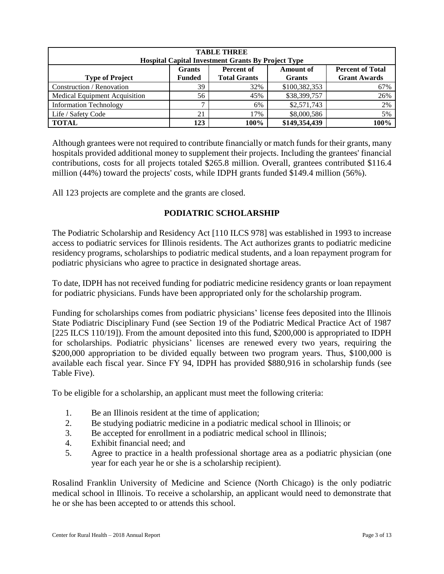| <b>TABLE THREE</b><br><b>Hospital Capital Investment Grants By Project Type</b>                                                                                                             |                 |      |               |      |  |  |  |  |  |  |
|---------------------------------------------------------------------------------------------------------------------------------------------------------------------------------------------|-----------------|------|---------------|------|--|--|--|--|--|--|
| <b>Percent of</b><br><b>Percent of Total</b><br><b>Grants</b><br><b>Amount of</b><br><b>Total Grants</b><br><b>Grant Awards</b><br><b>Type of Project</b><br><b>Funded</b><br><b>Grants</b> |                 |      |               |      |  |  |  |  |  |  |
| Construction / Renovation                                                                                                                                                                   | 39              | 32%  | \$100,382,353 | 67%  |  |  |  |  |  |  |
| Medical Equipment Acquisition                                                                                                                                                               | 56              | 45%  | \$38,399,757  | 26%  |  |  |  |  |  |  |
| <b>Information Technology</b>                                                                                                                                                               | $\mathbf{\tau}$ | 6%   | \$2,571,743   | 2%   |  |  |  |  |  |  |
| Life / Safety Code                                                                                                                                                                          | 21              | 17%  | \$8,000,586   | 5%   |  |  |  |  |  |  |
| <b>TOTAL</b>                                                                                                                                                                                | 123             | 100% | \$149,354,439 | 100% |  |  |  |  |  |  |

Although grantees were not required to contribute financially or match funds for their grants, many hospitals provided additional money to supplement their projects. Including the grantees' financial contributions, costs for all projects totaled \$265.8 million. Overall, grantees contributed \$116.4 million (44%) toward the projects' costs, while IDPH grants funded \$149.4 million (56%).

All 123 projects are complete and the grants are closed.

## **PODIATRIC SCHOLARSHIP**

The Podiatric Scholarship and Residency Act [110 ILCS 978] was established in 1993 to increase access to podiatric services for Illinois residents. The Act authorizes grants to podiatric medicine residency programs, scholarships to podiatric medical students, and a loan repayment program for podiatric physicians who agree to practice in designated shortage areas.

To date, IDPH has not received funding for podiatric medicine residency grants or loan repayment for podiatric physicians. Funds have been appropriated only for the scholarship program.

Funding for scholarships comes from podiatric physicians' license fees deposited into the Illinois State Podiatric Disciplinary Fund (see Section 19 of the Podiatric Medical Practice Act of 1987 [225 ILCS 110/19]). From the amount deposited into this fund, \$200,000 is appropriated to IDPH for scholarships. Podiatric physicians' licenses are renewed every two years, requiring the \$200,000 appropriation to be divided equally between two program years. Thus, \$100,000 is available each fiscal year. Since FY 94, IDPH has provided \$880,916 in scholarship funds (see Table Five).

To be eligible for a scholarship, an applicant must meet the following criteria:

- 1. Be an Illinois resident at the time of application;
- 2. Be studying podiatric medicine in a podiatric medical school in Illinois; or
- 3. Be accepted for enrollment in a podiatric medical school in Illinois;
- 4. Exhibit financial need; and
- 5. Agree to practice in a health professional shortage area as a podiatric physician (one year for each year he or she is a scholarship recipient).

Rosalind Franklin University of Medicine and Science (North Chicago) is the only podiatric medical school in Illinois. To receive a scholarship, an applicant would need to demonstrate that he or she has been accepted to or attends this school.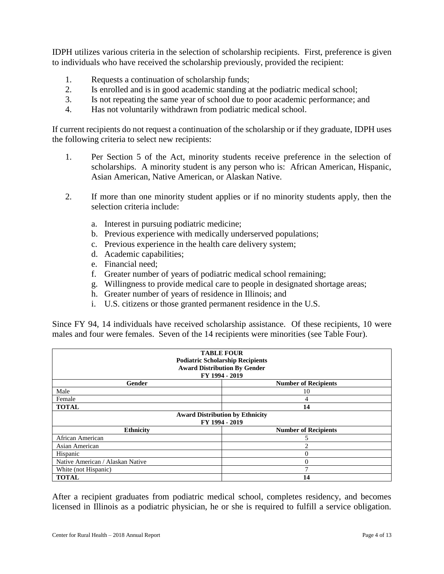IDPH utilizes various criteria in the selection of scholarship recipients. First, preference is given to individuals who have received the scholarship previously, provided the recipient:

- 1. Requests a continuation of scholarship funds;
- 2. Is enrolled and is in good academic standing at the podiatric medical school;
- 3. Is not repeating the same year of school due to poor academic performance; and
- 4. Has not voluntarily withdrawn from podiatric medical school.

If current recipients do not request a continuation of the scholarship or if they graduate, IDPH uses the following criteria to select new recipients:

- 1. Per Section 5 of the Act, minority students receive preference in the selection of scholarships. A minority student is any person who is: African American, Hispanic, Asian American, Native American, or Alaskan Native.
- 2. If more than one minority student applies or if no minority students apply, then the selection criteria include:
	- a. Interest in pursuing podiatric medicine;
	- b. Previous experience with medically underserved populations;
	- c. Previous experience in the health care delivery system;
	- d. Academic capabilities;
	- e. Financial need;
	- f. Greater number of years of podiatric medical school remaining;
	- g. Willingness to provide medical care to people in designated shortage areas;
	- h. Greater number of years of residence in Illinois; and
	- i. U.S. citizens or those granted permanent residence in the U.S.

Since FY 94, 14 individuals have received scholarship assistance. Of these recipients, 10 were males and four were females. Seven of the 14 recipients were minorities (see Table Four).

| <b>TABLE FOUR</b><br><b>Podiatric Scholarship Recipients</b><br><b>Award Distribution By Gender</b><br>FY 1994 - 2019 |                                        |  |  |  |  |  |  |  |
|-----------------------------------------------------------------------------------------------------------------------|----------------------------------------|--|--|--|--|--|--|--|
| <b>Gender</b>                                                                                                         | <b>Number of Recipients</b>            |  |  |  |  |  |  |  |
| Male                                                                                                                  | 10                                     |  |  |  |  |  |  |  |
| Female                                                                                                                | 4                                      |  |  |  |  |  |  |  |
| <b>TOTAL</b>                                                                                                          | 14                                     |  |  |  |  |  |  |  |
|                                                                                                                       | <b>Award Distribution by Ethnicity</b> |  |  |  |  |  |  |  |
|                                                                                                                       | FY 1994 - 2019                         |  |  |  |  |  |  |  |
| <b>Ethnicity</b>                                                                                                      | <b>Number of Recipients</b>            |  |  |  |  |  |  |  |
| African American                                                                                                      |                                        |  |  |  |  |  |  |  |
| Asian American                                                                                                        | 2                                      |  |  |  |  |  |  |  |
| Hispanic                                                                                                              | 0                                      |  |  |  |  |  |  |  |
| Native American / Alaskan Native                                                                                      | $\overline{0}$                         |  |  |  |  |  |  |  |
| White (not Hispanic)                                                                                                  | ┑                                      |  |  |  |  |  |  |  |
| <b>TOTAL</b>                                                                                                          | 14                                     |  |  |  |  |  |  |  |

After a recipient graduates from podiatric medical school, completes residency, and becomes licensed in Illinois as a podiatric physician, he or she is required to fulfill a service obligation.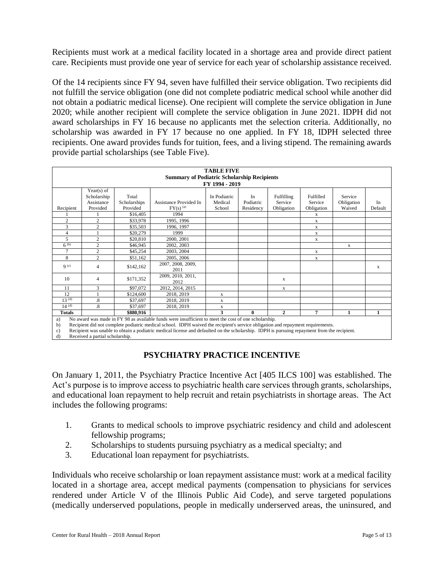Recipients must work at a medical facility located in a shortage area and provide direct patient care. Recipients must provide one year of service for each year of scholarship assistance received.

Of the 14 recipients since FY 94, seven have fulfilled their service obligation. Two recipients did not fulfill the service obligation (one did not complete podiatric medical school while another did not obtain a podiatric medical license). One recipient will complete the service obligation in June 2020; while another recipient will complete the service obligation in June 2021. IDPH did not award scholarships in FY 16 because no applicants met the selection criteria. Additionally, no scholarship was awarded in FY 17 because no one applied. In FY 18, IDPH selected three recipients. One award provides funds for tuition, fees, and a living stipend. The remaining awards provide partial scholarships (see Table Five).

|                | <b>TABLE FIVE</b><br><b>Summary of Podiatric Scholarship Recipients</b> |                                   |                                                                                                                                                                                                                                         |                                   |                              |                                     |                                    |                                 |               |  |  |
|----------------|-------------------------------------------------------------------------|-----------------------------------|-----------------------------------------------------------------------------------------------------------------------------------------------------------------------------------------------------------------------------------------|-----------------------------------|------------------------------|-------------------------------------|------------------------------------|---------------------------------|---------------|--|--|
|                |                                                                         |                                   |                                                                                                                                                                                                                                         | FY 1994 - 2019                    |                              |                                     |                                    |                                 |               |  |  |
| Recipient      | Year(s) of<br>Scholarship<br>Assistance<br>Provided                     | Total<br>Scholarships<br>Provided | Assistance Provided In<br>$FY(s)$ <sup>(a)</sup>                                                                                                                                                                                        | In Podiatric<br>Medical<br>School | In<br>Podiatric<br>Residency | Fulfilling<br>Service<br>Obligation | Fulfilled<br>Service<br>Obligation | Service<br>Obligation<br>Waived | In<br>Default |  |  |
|                |                                                                         | \$16,405                          | 1994                                                                                                                                                                                                                                    |                                   |                              |                                     | X                                  |                                 |               |  |  |
| $\overline{2}$ | $\overline{c}$                                                          | \$33,978                          | 1995, 1996                                                                                                                                                                                                                              |                                   |                              |                                     | X                                  |                                 |               |  |  |
| 3              | $\overline{c}$                                                          | \$35,503                          | 1996, 1997                                                                                                                                                                                                                              |                                   |                              |                                     | X                                  |                                 |               |  |  |
| 4              |                                                                         | \$20,279                          | 1999                                                                                                                                                                                                                                    |                                   |                              |                                     | X                                  |                                 |               |  |  |
| 5              | $\overline{c}$                                                          | \$20,810                          | 2000, 2001                                                                                                                                                                                                                              |                                   |                              |                                     | X                                  |                                 |               |  |  |
| $6^{(b)}$      | $\overline{c}$                                                          | \$46,945                          | 2002, 2003                                                                                                                                                                                                                              |                                   |                              |                                     |                                    | $\mathbf X$                     |               |  |  |
| $\overline{7}$ | $\overline{c}$                                                          | \$45,254                          | 2003, 2004                                                                                                                                                                                                                              |                                   |                              |                                     | X                                  |                                 |               |  |  |
| 8              | $\overline{c}$                                                          | \$51,162                          | 2005, 2006                                                                                                                                                                                                                              |                                   |                              |                                     | X                                  |                                 |               |  |  |
| q(c)           | 4                                                                       | \$142,162                         | 2007, 2008, 2009,<br>2011                                                                                                                                                                                                               |                                   |                              |                                     |                                    |                                 | X             |  |  |
| 10             | 4                                                                       | \$171,352                         | 2009, 2010, 2011,<br>2012                                                                                                                                                                                                               |                                   |                              | X                                   |                                    |                                 |               |  |  |
| 11             | 3                                                                       | \$97,072                          | 2012, 2014, 2015                                                                                                                                                                                                                        |                                   |                              | X                                   |                                    |                                 |               |  |  |
| 12             |                                                                         | \$124,600                         | 2018, 2019                                                                                                                                                                                                                              | X                                 |                              |                                     |                                    |                                 |               |  |  |
| $13^{(d)}$     | 8.                                                                      | \$37,697                          | 2018, 2019                                                                                                                                                                                                                              | X                                 |                              |                                     |                                    |                                 |               |  |  |
| $14^{(d)}$     | $\overline{8}$                                                          | \$37,697                          | 2018, 2019                                                                                                                                                                                                                              | X                                 |                              |                                     |                                    |                                 |               |  |  |
| <b>Totals</b>  |                                                                         | \$880,916                         |                                                                                                                                                                                                                                         | 3                                 | $\mathbf{0}$                 | $\mathbf{2}$                        | 7                                  | $\mathbf{1}$                    | $\mathbf{1}$  |  |  |
| a)<br>h)       |                                                                         |                                   | No award was made in FY 98 as available funds were insufficient to meet the cost of one scholarship.<br>Recipient did not complete podiatric medical school. IDPH waived the recipient's service obligation and repayment requirements. |                                   |                              |                                     |                                    |                                 |               |  |  |

c) Recipient was unable to obtain a podiatric medical license and defaulted on the scholarship. IDPH is pursuing repayment from the recipient.

d) Received a partial scholarship.

# **PSYCHIATRY PRACTICE INCENTIVE**

On January 1, 2011, the Psychiatry Practice Incentive Act [405 ILCS 100] was established. The Act's purpose is to improve access to psychiatric health care services through grants, scholarships, and educational loan repayment to help recruit and retain psychiatrists in shortage areas. The Act includes the following programs:

- 1. Grants to medical schools to improve psychiatric residency and child and adolescent fellowship programs;
- 2. Scholarships to students pursuing psychiatry as a medical specialty; and
- 3. Educational loan repayment for psychiatrists.

Individuals who receive scholarship or loan repayment assistance must: work at a medical facility located in a shortage area, accept medical payments (compensation to physicians for services rendered under Article V of the Illinois Public Aid Code), and serve targeted populations (medically underserved populations, people in medically underserved areas, the uninsured, and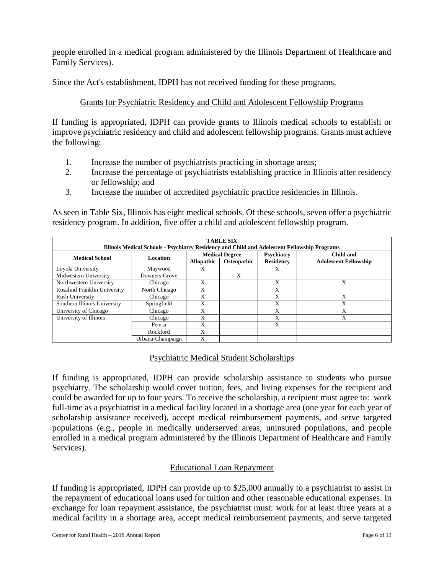people enrolled in a medical program administered by the Illinois Department of Healthcare and Family Services).

Since the Act's establishment, IDPH has not received funding for these programs.

## Grants for Psychiatric Residency and Child and Adolescent Fellowship Programs

If funding is appropriated, IDPH can provide grants to Illinois medical schools to establish or improve psychiatric residency and child and adolescent fellowship programs. Grants must achieve the following:

- 1. Increase the number of psychiatrists practicing in shortage areas;
- 2. Increase the percentage of psychiatrists establishing practice in Illinois after residency or fellowship; and
- 3. Increase the number of accredited psychiatric practice residencies in Illinois.

As seen in Table Six, Illinois has eight medical schools. Of these schools, seven offer a psychiatric residency program. In addition, five offer a child and adolescent fellowship program.

|                                     | <b>TABLE SIX</b><br>Illinois Medical Schools - Psychiatry Residency and Child and Adolescent Fellowship Programs |                   |                       |                  |                              |  |  |  |  |  |
|-------------------------------------|------------------------------------------------------------------------------------------------------------------|-------------------|-----------------------|------------------|------------------------------|--|--|--|--|--|
|                                     | Location                                                                                                         |                   | <b>Medical Degree</b> | Psychiatry       | Child and                    |  |  |  |  |  |
| <b>Medical School</b>               |                                                                                                                  | <b>Allopathic</b> | Osteopathic           | <b>Residency</b> | <b>Adolescent Fellowship</b> |  |  |  |  |  |
| Loyola University                   | Maywood                                                                                                          | X                 |                       | X                |                              |  |  |  |  |  |
| Midwestern University               | Downers Grove                                                                                                    |                   | X                     |                  |                              |  |  |  |  |  |
| Northwestern University             | Chicago                                                                                                          | X                 |                       | X                | X                            |  |  |  |  |  |
| <b>Rosalind Franklin University</b> | North Chicago                                                                                                    | X                 |                       | X                |                              |  |  |  |  |  |
| <b>Rush University</b>              | Chicago                                                                                                          | X                 |                       | X                | Х                            |  |  |  |  |  |
| Southern Illinois University        | Springfield                                                                                                      | X                 |                       | X                | Х                            |  |  |  |  |  |
| University of Chicago               | Chicago                                                                                                          | X                 |                       | X                | Х                            |  |  |  |  |  |
| University of Illinois              | Chicago                                                                                                          | X                 |                       | X                | X                            |  |  |  |  |  |
|                                     | Peoria                                                                                                           | X                 |                       | X                |                              |  |  |  |  |  |
|                                     | Rockford                                                                                                         | X                 |                       |                  |                              |  |  |  |  |  |
|                                     | Urbana-Champaign                                                                                                 | X                 |                       |                  |                              |  |  |  |  |  |

## Psychiatric Medical Student Scholarships

If funding is appropriated, IDPH can provide scholarship assistance to students who pursue psychiatry. The scholarship would cover tuition, fees, and living expenses for the recipient and could be awarded for up to four years. To receive the scholarship, a recipient must agree to: work full-time as a psychiatrist in a medical facility located in a shortage area (one year for each year of scholarship assistance received), accept medical reimbursement payments, and serve targeted populations (e.g., people in medically underserved areas, uninsured populations, and people enrolled in a medical program administered by the Illinois Department of Healthcare and Family Services).

## Educational Loan Repayment

If funding is appropriated, IDPH can provide up to \$25,000 annually to a psychiatrist to assist in the repayment of educational loans used for tuition and other reasonable educational expenses. In exchange for loan repayment assistance, the psychiatrist must: work for at least three years at a medical facility in a shortage area, accept medical reimbursement payments, and serve targeted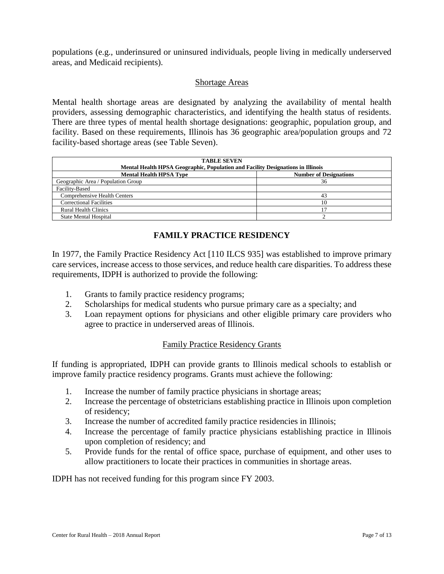populations (e.g., underinsured or uninsured individuals, people living in medically underserved areas, and Medicaid recipients).

#### Shortage Areas

Mental health shortage areas are designated by analyzing the availability of mental health providers, assessing demographic characteristics, and identifying the health status of residents. There are three types of mental health shortage designations: geographic, population group, and facility. Based on these requirements, Illinois has 36 geographic area/population groups and 72 facility-based shortage areas (see Table Seven).

| <b>TABLE SEVEN</b><br>Mental Health HPSA Geographic, Population and Facility Designations in Illinois |    |  |  |  |  |  |  |  |  |
|-------------------------------------------------------------------------------------------------------|----|--|--|--|--|--|--|--|--|
| <b>Mental Health HPSA Type</b><br><b>Number of Designations</b>                                       |    |  |  |  |  |  |  |  |  |
| Geographic Area / Population Group                                                                    | 36 |  |  |  |  |  |  |  |  |
| Facility-Based                                                                                        |    |  |  |  |  |  |  |  |  |
| Comprehensive Health Centers                                                                          | 43 |  |  |  |  |  |  |  |  |
| <b>Correctional Facilities</b>                                                                        | 10 |  |  |  |  |  |  |  |  |
| <b>Rural Health Clinics</b>                                                                           |    |  |  |  |  |  |  |  |  |
| <b>State Mental Hospital</b>                                                                          |    |  |  |  |  |  |  |  |  |

# **FAMILY PRACTICE RESIDENCY**

In 1977, the Family Practice Residency Act [110 ILCS 935] was established to improve primary care services, increase access to those services, and reduce health care disparities. To address these requirements, IDPH is authorized to provide the following:

- 1. Grants to family practice residency programs;
- 2. Scholarships for medical students who pursue primary care as a specialty; and
- 3. Loan repayment options for physicians and other eligible primary care providers who agree to practice in underserved areas of Illinois.

## Family Practice Residency Grants

If funding is appropriated, IDPH can provide grants to Illinois medical schools to establish or improve family practice residency programs. Grants must achieve the following:

- 1. Increase the number of family practice physicians in shortage areas;
- 2. Increase the percentage of obstetricians establishing practice in Illinois upon completion of residency;
- 3. Increase the number of accredited family practice residencies in Illinois;
- 4. Increase the percentage of family practice physicians establishing practice in Illinois upon completion of residency; and
- 5. Provide funds for the rental of office space, purchase of equipment, and other uses to allow practitioners to locate their practices in communities in shortage areas.

IDPH has not received funding for this program since FY 2003.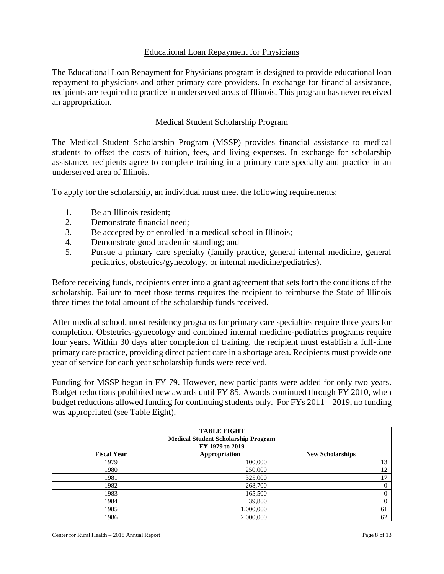#### Educational Loan Repayment for Physicians

The Educational Loan Repayment for Physicians program is designed to provide educational loan repayment to physicians and other primary care providers. In exchange for financial assistance, recipients are required to practice in underserved areas of Illinois. This program has never received an appropriation.

#### Medical Student Scholarship Program

The Medical Student Scholarship Program (MSSP) provides financial assistance to medical students to offset the costs of tuition, fees, and living expenses. In exchange for scholarship assistance, recipients agree to complete training in a primary care specialty and practice in an underserved area of Illinois.

To apply for the scholarship, an individual must meet the following requirements:

- 1. Be an Illinois resident;
- 2. Demonstrate financial need;
- 3. Be accepted by or enrolled in a medical school in Illinois;
- 4. Demonstrate good academic standing; and
- 5. Pursue a primary care specialty (family practice, general internal medicine, general pediatrics, obstetrics/gynecology, or internal medicine/pediatrics).

Before receiving funds, recipients enter into a grant agreement that sets forth the conditions of the scholarship. Failure to meet those terms requires the recipient to reimburse the State of Illinois three times the total amount of the scholarship funds received.

After medical school, most residency programs for primary care specialties require three years for completion. Obstetrics-gynecology and combined internal medicine-pediatrics programs require four years. Within 30 days after completion of training, the recipient must establish a full-time primary care practice, providing direct patient care in a shortage area. Recipients must provide one year of service for each year scholarship funds were received.

Funding for MSSP began in FY 79. However, new participants were added for only two years. Budget reductions prohibited new awards until FY 85. Awards continued through FY 2010, when budget reductions allowed funding for continuing students only. For FYs 2011 – 2019, no funding was appropriated (see Table Eight).

| <b>TABLE EIGHT</b><br><b>Medical Student Scholarship Program</b><br>FY 1979 to 2019 |               |                         |  |  |  |  |  |  |
|-------------------------------------------------------------------------------------|---------------|-------------------------|--|--|--|--|--|--|
| <b>Fiscal Year</b>                                                                  | Appropriation | <b>New Scholarships</b> |  |  |  |  |  |  |
| 1979                                                                                | 100,000       | 13                      |  |  |  |  |  |  |
| 1980                                                                                | 250,000       | 12                      |  |  |  |  |  |  |
| 1981                                                                                | 325,000       | 17                      |  |  |  |  |  |  |
| 1982                                                                                | 268,700       | $\mathbf{0}$            |  |  |  |  |  |  |
| 1983                                                                                | 165,500       | $\theta$                |  |  |  |  |  |  |
| 1984                                                                                | 39,800        | 0                       |  |  |  |  |  |  |
| 1985                                                                                | 1,000,000     | 61                      |  |  |  |  |  |  |
| 1986                                                                                | 2,000,000     | 62                      |  |  |  |  |  |  |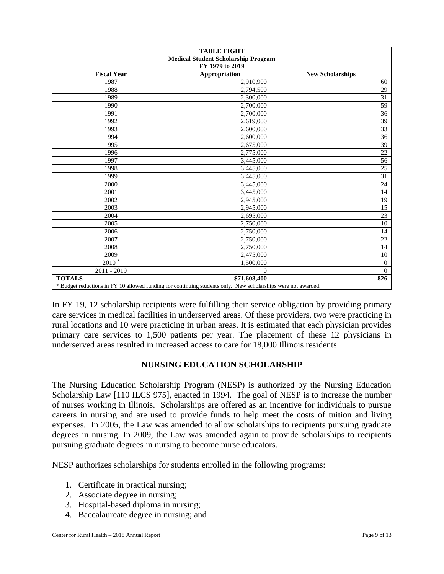| <b>TABLE EIGHT</b><br><b>Medical Student Scholarship Program</b><br>FY 1979 to 2019 |                                                                                                               |                         |  |  |  |  |  |
|-------------------------------------------------------------------------------------|---------------------------------------------------------------------------------------------------------------|-------------------------|--|--|--|--|--|
| <b>Fiscal Year</b>                                                                  | Appropriation                                                                                                 | <b>New Scholarships</b> |  |  |  |  |  |
| 1987                                                                                | 2,910,900                                                                                                     | 60                      |  |  |  |  |  |
| 1988                                                                                | 2,794,500                                                                                                     | 29                      |  |  |  |  |  |
| 1989                                                                                | 2,300,000                                                                                                     | 31                      |  |  |  |  |  |
| 1990                                                                                | 2,700,000                                                                                                     | 59                      |  |  |  |  |  |
| 1991                                                                                | 2,700,000                                                                                                     | 36                      |  |  |  |  |  |
| 1992                                                                                | 2,619,000                                                                                                     | 39                      |  |  |  |  |  |
| 1993                                                                                | 2,600,000                                                                                                     | 33                      |  |  |  |  |  |
| 1994                                                                                | 2,600,000                                                                                                     | 36                      |  |  |  |  |  |
| 1995                                                                                | 2,675,000                                                                                                     | 39                      |  |  |  |  |  |
| 1996                                                                                | 2,775,000                                                                                                     | 22                      |  |  |  |  |  |
| 1997                                                                                | 3,445,000                                                                                                     | 56                      |  |  |  |  |  |
| 1998                                                                                | 3,445,000                                                                                                     | 25                      |  |  |  |  |  |
| 1999                                                                                | 3,445,000                                                                                                     | 31                      |  |  |  |  |  |
| 2000                                                                                | 3,445,000                                                                                                     | 24                      |  |  |  |  |  |
| 2001                                                                                | 3,445,000                                                                                                     | 14                      |  |  |  |  |  |
| 2002                                                                                | 2,945,000                                                                                                     | 19                      |  |  |  |  |  |
| 2003                                                                                | 2,945,000                                                                                                     | 15                      |  |  |  |  |  |
| 2004                                                                                | 2,695,000                                                                                                     | 23                      |  |  |  |  |  |
| 2005                                                                                | 2,750,000                                                                                                     | 10                      |  |  |  |  |  |
| 2006                                                                                | 2,750,000                                                                                                     | 14                      |  |  |  |  |  |
| 2007                                                                                | 2,750,000                                                                                                     | 22                      |  |  |  |  |  |
| 2008                                                                                | 2,750,000                                                                                                     | 14                      |  |  |  |  |  |
| 2009                                                                                | 2,475,000                                                                                                     | 10                      |  |  |  |  |  |
| $2010*$                                                                             | 1,500,000                                                                                                     | $\mathbf{0}$            |  |  |  |  |  |
| 2011 - 2019                                                                         | $\Omega$                                                                                                      | $\theta$                |  |  |  |  |  |
| <b>TOTALS</b>                                                                       | \$71,608,400                                                                                                  | 826                     |  |  |  |  |  |
|                                                                                     | * Budget reductions in FY 10 allowed funding for continuing students only. New scholarships were not awarded. |                         |  |  |  |  |  |

In FY 19, 12 scholarship recipients were fulfilling their service obligation by providing primary care services in medical facilities in underserved areas. Of these providers, two were practicing in rural locations and 10 were practicing in urban areas. It is estimated that each physician provides primary care services to 1,500 patients per year. The placement of these 12 physicians in underserved areas resulted in increased access to care for 18,000 Illinois residents.

# **NURSING EDUCATION SCHOLARSHIP**

The Nursing Education Scholarship Program (NESP) is authorized by the Nursing Education Scholarship Law [110 ILCS 975], enacted in 1994. The goal of NESP is to increase the number of nurses working in Illinois. Scholarships are offered as an incentive for individuals to pursue careers in nursing and are used to provide funds to help meet the costs of tuition and living expenses. In 2005, the Law was amended to allow scholarships to recipients pursuing graduate degrees in nursing. In 2009, the Law was amended again to provide scholarships to recipients pursuing graduate degrees in nursing to become nurse educators.

NESP authorizes scholarships for students enrolled in the following programs:

- 1. Certificate in practical nursing;
- 2. Associate degree in nursing;
- 3. Hospital-based diploma in nursing;
- 4. Baccalaureate degree in nursing; and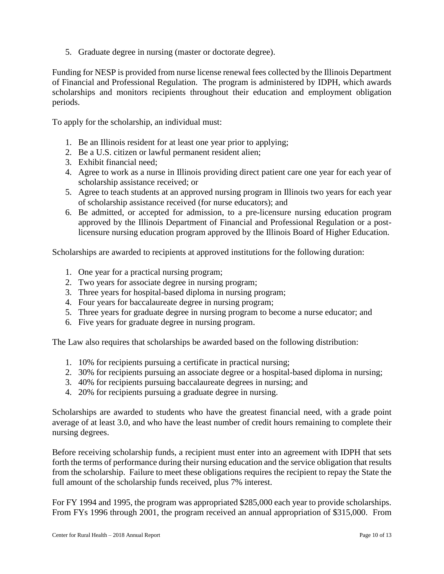5. Graduate degree in nursing (master or doctorate degree).

Funding for NESP is provided from nurse license renewal fees collected by the Illinois Department of Financial and Professional Regulation. The program is administered by IDPH, which awards scholarships and monitors recipients throughout their education and employment obligation periods.

To apply for the scholarship, an individual must:

- 1. Be an Illinois resident for at least one year prior to applying;
- 2. Be a U.S. citizen or lawful permanent resident alien;
- 3. Exhibit financial need;
- 4. Agree to work as a nurse in Illinois providing direct patient care one year for each year of scholarship assistance received; or
- 5. Agree to teach students at an approved nursing program in Illinois two years for each year of scholarship assistance received (for nurse educators); and
- 6. Be admitted, or accepted for admission, to a pre-licensure nursing education program approved by the Illinois Department of Financial and Professional Regulation or a postlicensure nursing education program approved by the Illinois Board of Higher Education.

Scholarships are awarded to recipients at approved institutions for the following duration:

- 1. One year for a practical nursing program;
- 2. Two years for associate degree in nursing program;
- 3. Three years for hospital-based diploma in nursing program;
- 4. Four years for baccalaureate degree in nursing program;
- 5. Three years for graduate degree in nursing program to become a nurse educator; and
- 6. Five years for graduate degree in nursing program.

The Law also requires that scholarships be awarded based on the following distribution:

- 1. 10% for recipients pursuing a certificate in practical nursing;
- 2. 30% for recipients pursuing an associate degree or a hospital-based diploma in nursing;
- 3. 40% for recipients pursuing baccalaureate degrees in nursing; and
- 4. 20% for recipients pursuing a graduate degree in nursing.

Scholarships are awarded to students who have the greatest financial need, with a grade point average of at least 3.0, and who have the least number of credit hours remaining to complete their nursing degrees.

Before receiving scholarship funds, a recipient must enter into an agreement with IDPH that sets forth the terms of performance during their nursing education and the service obligation that results from the scholarship. Failure to meet these obligations requires the recipient to repay the State the full amount of the scholarship funds received, plus 7% interest.

For FY 1994 and 1995, the program was appropriated \$285,000 each year to provide scholarships. From FYs 1996 through 2001, the program received an annual appropriation of \$315,000. From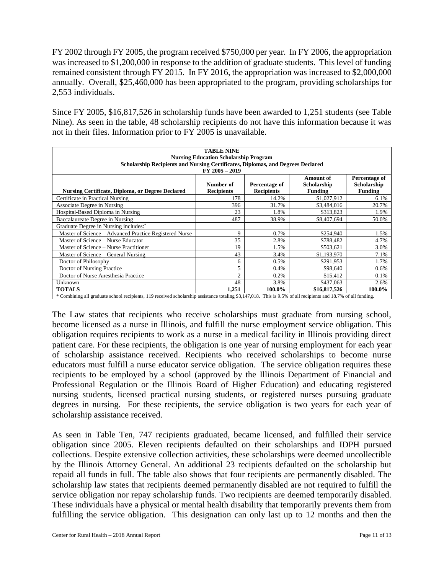FY 2002 through FY 2005, the program received \$750,000 per year. In FY 2006, the appropriation was increased to \$1,200,000 in response to the addition of graduate students. This level of funding remained consistent through FY 2015. In FY 2016, the appropriation was increased to \$2,000,000 annually. Overall, \$25,460,000 has been appropriated to the program, providing scholarships for 2,553 individuals.

Since FY 2005, \$16,817,526 in scholarship funds have been awarded to 1,251 students (see Table Nine). As seen in the table, 48 scholarship recipients do not have this information because it was not in their files. Information prior to FY 2005 is unavailable.

| <b>TABLE NINE</b><br><b>Nursing Education Scholarship Program</b><br>Scholarship Recipients and Nursing Certificates, Diplomas, and Degrees Declared<br>FY 2005 - 2019                                                                 |                |        |              |        |  |  |  |  |  |  |  |
|----------------------------------------------------------------------------------------------------------------------------------------------------------------------------------------------------------------------------------------|----------------|--------|--------------|--------|--|--|--|--|--|--|--|
| Percentage of<br><b>Amount of</b><br>Percentage of<br>Scholarship<br>Number of<br>Scholarship<br><b>Nursing Certificate, Diploma, or Degree Declared</b><br><b>Recipients</b><br><b>Recipients</b><br><b>Funding</b><br><b>Funding</b> |                |        |              |        |  |  |  |  |  |  |  |
| Certificate in Practical Nursing                                                                                                                                                                                                       | 178            | 14.2%  | \$1,027,912  | 6.1%   |  |  |  |  |  |  |  |
| Associate Degree in Nursing                                                                                                                                                                                                            | 396            | 31.7%  | \$3,484,016  | 20.7%  |  |  |  |  |  |  |  |
| Hospital-Based Diploma in Nursing                                                                                                                                                                                                      | 23             | 1.8%   | \$313,823    | 1.9%   |  |  |  |  |  |  |  |
| Baccalaureate Degree in Nursing                                                                                                                                                                                                        | 487            | 38.9%  | \$8,407,694  | 50.0%  |  |  |  |  |  |  |  |
| Graduate Degree in Nursing includes: <sup>*</sup>                                                                                                                                                                                      |                |        |              |        |  |  |  |  |  |  |  |
| Master of Science - Advanced Practice Registered Nurse                                                                                                                                                                                 | 9              | 0.7%   | \$254,940    | 1.5%   |  |  |  |  |  |  |  |
| Master of Science – Nurse Educator                                                                                                                                                                                                     | 35             | 2.8%   | \$788,482    | 4.7%   |  |  |  |  |  |  |  |
| Master of Science - Nurse Practitioner                                                                                                                                                                                                 | 19             | 1.5%   | \$503,621    | 3.0%   |  |  |  |  |  |  |  |
| Master of Science – General Nursing                                                                                                                                                                                                    | 43             | 3.4%   | \$1,193,970  | 7.1%   |  |  |  |  |  |  |  |
| Doctor of Philosophy                                                                                                                                                                                                                   | 6              | 0.5%   | \$291,953    | 1.7%   |  |  |  |  |  |  |  |
| Doctor of Nursing Practice                                                                                                                                                                                                             | 5              | 0.4%   | \$98,640     | 0.6%   |  |  |  |  |  |  |  |
| Doctor of Nurse Anesthesia Practice                                                                                                                                                                                                    | $\overline{c}$ | 0.2%   | \$15,412     | 0.1%   |  |  |  |  |  |  |  |
| Unknown                                                                                                                                                                                                                                | 48             | 3.8%   | \$437,063    | 2.6%   |  |  |  |  |  |  |  |
| <b>TOTALS</b>                                                                                                                                                                                                                          | 1.251          | 100.0% | \$16,817,526 | 100.0% |  |  |  |  |  |  |  |
| * Combining all graduate school recipients, 119 received scholarship assistance totaling \$3,147,018. This is 9.5% of all recipients and 18.7% of all funding.                                                                         |                |        |              |        |  |  |  |  |  |  |  |

The Law states that recipients who receive scholarships must graduate from nursing school, become licensed as a nurse in Illinois, and fulfill the nurse employment service obligation. This obligation requires recipients to work as a nurse in a medical facility in Illinois providing direct patient care. For these recipients, the obligation is one year of nursing employment for each year of scholarship assistance received. Recipients who received scholarships to become nurse educators must fulfill a nurse educator service obligation. The service obligation requires these recipients to be employed by a school (approved by the Illinois Department of Financial and Professional Regulation or the Illinois Board of Higher Education) and educating registered nursing students, licensed practical nursing students, or registered nurses pursuing graduate degrees in nursing. For these recipients, the service obligation is two years for each year of scholarship assistance received.

As seen in Table Ten, 747 recipients graduated, became licensed, and fulfilled their service obligation since 2005. Eleven recipients defaulted on their scholarships and IDPH pursued collections. Despite extensive collection activities, these scholarships were deemed uncollectible by the Illinois Attorney General. An additional 23 recipients defaulted on the scholarship but repaid all funds in full. The table also shows that four recipients are permanently disabled. The scholarship law states that recipients deemed permanently disabled are not required to fulfill the service obligation nor repay scholarship funds. Two recipients are deemed temporarily disabled. These individuals have a physical or mental health disability that temporarily prevents them from fulfilling the service obligation. This designation can only last up to 12 months and then the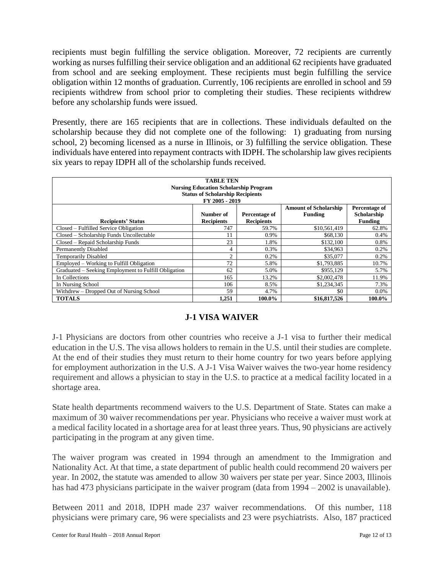recipients must begin fulfilling the service obligation. Moreover, 72 recipients are currently working as nurses fulfilling their service obligation and an additional 62 recipients have graduated from school and are seeking employment. These recipients must begin fulfilling the service obligation within 12 months of graduation. Currently, 106 recipients are enrolled in school and 59 recipients withdrew from school prior to completing their studies. These recipients withdrew before any scholarship funds were issued.

Presently, there are 165 recipients that are in collections. These individuals defaulted on the scholarship because they did not complete one of the following: 1) graduating from nursing school, 2) becoming licensed as a nurse in Illinois, or 3) fulfilling the service obligation. These individuals have entered into repayment contracts with IDPH. The scholarship law gives recipients six years to repay IDPH all of the scholarship funds received.

| <b>TABLE TEN</b><br><b>Nursing Education Scholarship Program</b><br><b>Status of Scholarship Recipients</b><br>FY 2005 - 2019                                                                  |                |        |              |         |  |  |  |  |  |  |
|------------------------------------------------------------------------------------------------------------------------------------------------------------------------------------------------|----------------|--------|--------------|---------|--|--|--|--|--|--|
| Percentage of<br><b>Amount of Scholarship</b><br>Scholarship<br>Number of<br>Percentage of<br><b>Funding</b><br><b>Recipients</b><br><b>Recipients</b><br>Funding<br><b>Recipients' Status</b> |                |        |              |         |  |  |  |  |  |  |
| Closed – Fulfilled Service Obligation                                                                                                                                                          | 747            | 59.7%  | \$10,561,419 | 62.8%   |  |  |  |  |  |  |
| Closed - Scholarship Funds Uncollectable                                                                                                                                                       | 11             | 0.9%   | \$68,130     | 0.4%    |  |  |  |  |  |  |
| Closed – Repaid Scholarship Funds                                                                                                                                                              | 23             | 1.8%   | \$132,100    | 0.8%    |  |  |  |  |  |  |
| <b>Permanently Disabled</b>                                                                                                                                                                    | 4              | 0.3%   | \$34,963     | 0.2%    |  |  |  |  |  |  |
| <b>Temporarily Disabled</b>                                                                                                                                                                    | $\overline{c}$ | 0.2%   | \$35,077     | 0.2%    |  |  |  |  |  |  |
| Employed – Working to Fulfill Obligation                                                                                                                                                       | 72             | 5.8%   | \$1,793,885  | 10.7%   |  |  |  |  |  |  |
| Graduated – Seeking Employment to Fulfill Obligation                                                                                                                                           | 62             | 5.0%   | \$955,129    | 5.7%    |  |  |  |  |  |  |
| In Collections                                                                                                                                                                                 | 165            | 13.2%  | \$2,002,478  | 11.9%   |  |  |  |  |  |  |
| In Nursing School                                                                                                                                                                              | 106            | 8.5%   | \$1,234,345  | 7.3%    |  |  |  |  |  |  |
| Withdrew – Dropped Out of Nursing School                                                                                                                                                       | 59             | 4.7%   | \$0          | $0.0\%$ |  |  |  |  |  |  |
| <b>TOTALS</b>                                                                                                                                                                                  | 1.251          | 100.0% | \$16,817,526 | 100.0%  |  |  |  |  |  |  |

## **J-1 VISA WAIVER**

J-1 Physicians are doctors from other countries who receive a J-1 visa to further their medical education in the U.S. The visa allows holders to remain in the U.S. until their studies are complete. At the end of their studies they must return to their home country for two years before applying for employment authorization in the U.S. A J-1 Visa Waiver waives the two-year home residency requirement and allows a physician to stay in the U.S. to practice at a medical facility located in a shortage area.

State health departments recommend waivers to the U.S. Department of State. States can make a maximum of 30 waiver recommendations per year. Physicians who receive a waiver must work at a medical facility located in a shortage area for at least three years. Thus, 90 physicians are actively participating in the program at any given time.

The waiver program was created in 1994 through an amendment to the Immigration and Nationality Act. At that time, a state department of public health could recommend 20 waivers per year. In 2002, the statute was amended to allow 30 waivers per state per year. Since 2003, Illinois has had 473 physicians participate in the waiver program (data from 1994 – 2002 is unavailable).

Between 2011 and 2018, IDPH made 237 waiver recommendations. Of this number, 118 physicians were primary care, 96 were specialists and 23 were psychiatrists. Also, 187 practiced